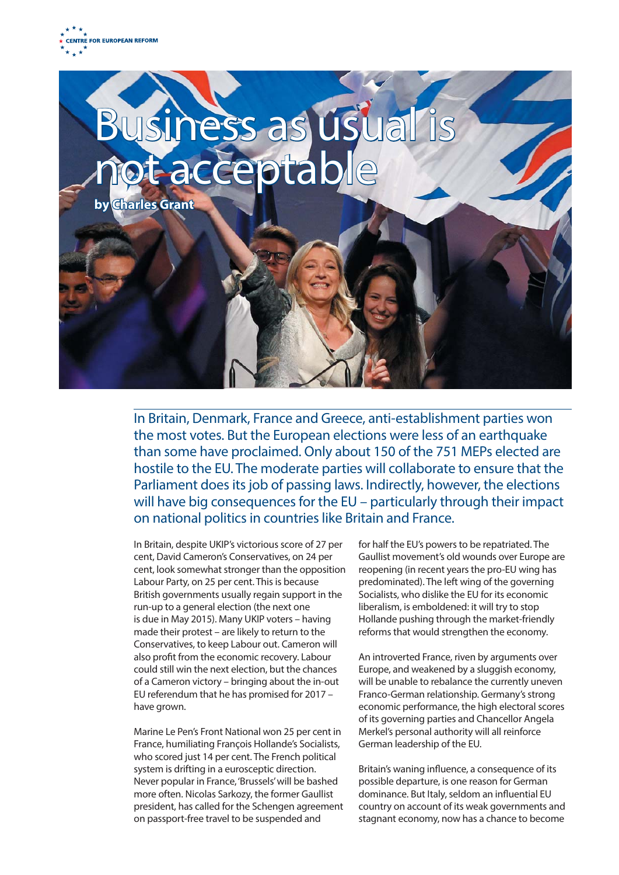



In Britain, Denmark, France and Greece, anti-establishment parties won the most votes. But the European elections were less of an earthquake than some have proclaimed. Only about 150 of the 751 MEPs elected are hostile to the EU. The moderate parties will collaborate to ensure that the Parliament does its job of passing laws. Indirectly, however, the elections will have big consequences for the EU – particularly through their impact on national politics in countries like Britain and France.

In Britain, despite UKIP's victorious score of 27 per cent, David Cameron's Conservatives, on 24 per cent, look somewhat stronger than the opposition Labour Party, on 25 per cent. This is because British governments usually regain support in the run-up to a general election (the next one is due in May 2015). Many UKIP voters – having made their protest – are likely to return to the Conservatives, to keep Labour out. Cameron will also profit from the economic recovery. Labour could still win the next election, but the chances of a Cameron victory – bringing about the in-out EU referendum that he has promised for 2017 – have grown.

Marine Le Pen's Front National won 25 per cent in France, humiliating François Hollande's Socialists, who scored just 14 per cent. The French political system is drifting in a eurosceptic direction. Never popular in France, 'Brussels' will be bashed more often. Nicolas Sarkozy, the former Gaullist president, has called for the Schengen agreement on passport-free travel to be suspended and

for half the EU's powers to be repatriated. The Gaullist movement's old wounds over Europe are reopening (in recent years the pro-EU wing has predominated). The left wing of the governing Socialists, who dislike the EU for its economic liberalism, is emboldened: it will try to stop Hollande pushing through the market-friendly reforms that would strengthen the economy.

An introverted France, riven by arguments over Europe, and weakened by a sluggish economy, will be unable to rebalance the currently uneven Franco-German relationship. Germany's strong economic performance, the high electoral scores of its governing parties and Chancellor Angela Merkel's personal authority will all reinforce German leadership of the EU.

Britain's waning influence, a consequence of its possible departure, is one reason for German dominance. But Italy, seldom an influential EU country on account of its weak governments and stagnant economy, now has a chance to become